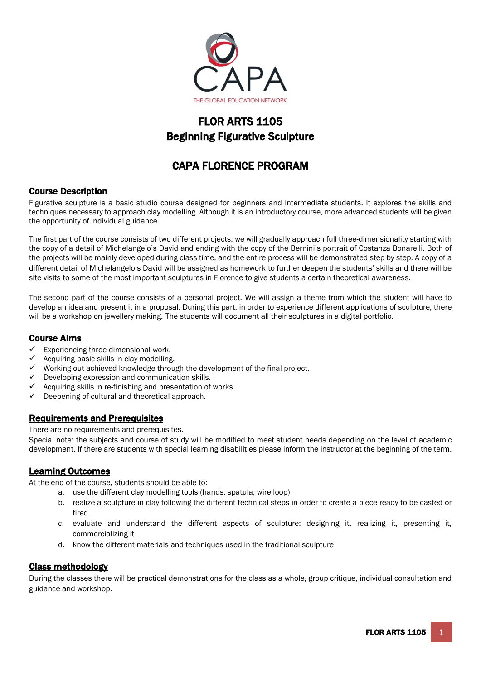

# FLOR ARTS 1105 Beginning Figurative Sculpture

# CAPA FLORENCE PROGRAM

# Course Description

Figurative sculpture is a basic studio course designed for beginners and intermediate students. It explores the skills and techniques necessary to approach clay modelling. Although it is an introductory course, more advanced students will be given the opportunity of individual guidance.

The first part of the course consists of two different projects: we will gradually approach full three-dimensionality starting with the copy of a detail of Michelangelo's David and ending with the copy of the Bernini's portrait of Costanza Bonarelli. Both of the projects will be mainly developed during class time, and the entire process will be demonstrated step by step. A copy of a different detail of Michelangelo's David will be assigned as homework to further deepen the students' skills and there will be site visits to some of the most important sculptures in Florence to give students a certain theoretical awareness.

The second part of the course consists of a personal project. We will assign a theme from which the student will have to develop an idea and present it in a proposal. During this part, in order to experience different applications of sculpture, there will be a workshop on jewellery making. The students will document all their sculptures in a digital portfolio.

# Course Aims

- Experiencing three-dimensional work.
- Acquiring basic skills in clay modelling.
- Working out achieved knowledge through the development of the final project.
- Developing expression and communication skills.
- Acquiring skills in re-finishing and presentation of works.
- Deepening of cultural and theoretical approach.

# Requirements and Prerequisites

There are no requirements and prerequisites.

Special note: the subjects and course of study will be modified to meet student needs depending on the level of academic development. If there are students with special learning disabilities please inform the instructor at the beginning of the term.

# Learning Outcomes

At the end of the course, students should be able to:

- a. use the different clay modelling tools (hands, spatula, wire loop)
- b. realize a sculpture in clay following the different technical steps in order to create a piece ready to be casted or fired
- c. evaluate and understand the different aspects of sculpture: designing it, realizing it, presenting it, commercializing it
- d. know the different materials and techniques used in the traditional sculpture

# Class methodology

During the classes there will be practical demonstrations for the class as a whole, group critique, individual consultation and guidance and workshop.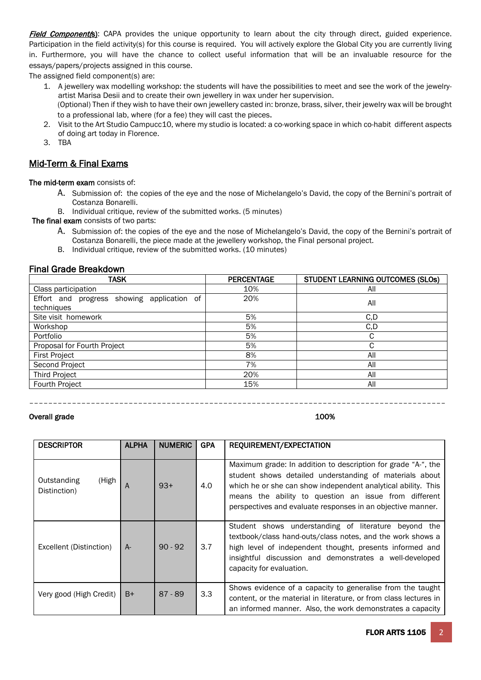Field Component(s): CAPA provides the unique opportunity to learn about the city through direct, guided experience. Participation in the field activity(s) for this course is required. You will actively explore the Global City you are currently living in. Furthermore, you will have the chance to collect useful information that will be an invaluable resource for the essays/papers/projects assigned in this course.

The assigned field component(s) are:

- 1. A jewellery wax modelling workshop: the students will have the possibilities to meet and see the work of the jewelryartist Marisa Desii and to create their own jewellery in wax under her supervision. (Optional) Then if they wish to have their own jewellery casted in: bronze, brass, silver, their jewelry wax will be brought to a professional lab, where (for a fee) they will cast the pieces.
- 2. Visit to the Art Studio Campucc10, where my studio is located: a co-working space in which co-habit different aspects of doing art today in Florence.
- 3. TBA

# Mid-Term & Final Exams

The mid-term exam consists of:

A. Submission of: the copies of the eye and the nose of Michelangelo's David, the copy of the Bernini's portrait of Costanza Bonarelli.

B. Individual critique, review of the submitted works. (5 minutes)

The final exam consists of two parts:

- A. Submission of: the copies of the eye and the nose of Michelangelo's David, the copy of the Bernini's portrait of Costanza Bonarelli, the piece made at the jewellery workshop, the Final personal project.
- B. Individual critique, review of the submitted works. (10 minutes)

# Final Grade Breakdown

| <b>TASK</b>                                              | <b>PERCENTAGE</b> | STUDENT LEARNING OUTCOMES (SLOS) |
|----------------------------------------------------------|-------------------|----------------------------------|
| Class participation                                      | 10%               | All                              |
| Effort and progress showing application of<br>techniques | 20%               | All                              |
| Site visit homework                                      | 5%                | C, D                             |
| Workshop                                                 | 5%                | C, D                             |
| Portfolio                                                | 5%                | С                                |
| Proposal for Fourth Project                              | 5%                |                                  |
| <b>First Project</b>                                     | 8%                |                                  |
| Second Project                                           | 7%                |                                  |
| <b>Third Project</b>                                     | 20%               |                                  |
| Fourth Project                                           | 15%               | All                              |

––––––––––––––––––––––––––––––––––––––––––––––––––––––––––––––––––––––––––––––––––––––––

Overall grade 200%

| <b>DESCRIPTOR</b>                    | <b>ALPHA</b> | <b>NUMERIC</b> | <b>GPA</b> | REQUIREMENT/EXPECTATION                                                                                                                                                                                                                                                                                           |
|--------------------------------------|--------------|----------------|------------|-------------------------------------------------------------------------------------------------------------------------------------------------------------------------------------------------------------------------------------------------------------------------------------------------------------------|
| Outstanding<br>(High<br>Distinction) | A            | $93+$          | 4.0        | Maximum grade: In addition to description for grade "A-", the<br>student shows detailed understanding of materials about<br>which he or she can show independent analytical ability. This<br>means the ability to question an issue from different<br>perspectives and evaluate responses in an objective manner. |
| Excellent (Distinction)              | $A-$         | $90 - 92$      | 3.7        | Student shows understanding of literature beyond the<br>textbook/class hand-outs/class notes, and the work shows a<br>high level of independent thought, presents informed and<br>insightful discussion and demonstrates a well-developed<br>capacity for evaluation.                                             |
| Very good (High Credit)              | $B+$         | $87 - 89$      | 3.3        | Shows evidence of a capacity to generalise from the taught<br>content, or the material in literature, or from class lectures in<br>an informed manner. Also, the work demonstrates a capacity                                                                                                                     |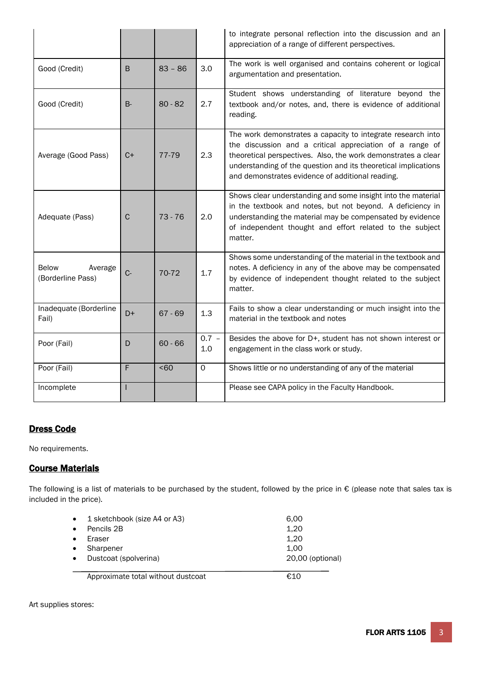|                                       |              |           |                | to integrate personal reflection into the discussion and an<br>appreciation of a range of different perspectives.                                                                                                                                                                                              |
|---------------------------------------|--------------|-----------|----------------|----------------------------------------------------------------------------------------------------------------------------------------------------------------------------------------------------------------------------------------------------------------------------------------------------------------|
| Good (Credit)                         | B            | $83 - 86$ | 3.0            | The work is well organised and contains coherent or logical<br>argumentation and presentation.                                                                                                                                                                                                                 |
| Good (Credit)                         | B-           | $80 - 82$ | 2.7            | Student shows understanding of literature beyond the<br>textbook and/or notes, and, there is evidence of additional<br>reading.                                                                                                                                                                                |
| Average (Good Pass)                   | $C+$         | 77-79     | 2.3            | The work demonstrates a capacity to integrate research into<br>the discussion and a critical appreciation of a range of<br>theoretical perspectives. Also, the work demonstrates a clear<br>understanding of the question and its theoretical implications<br>and demonstrates evidence of additional reading. |
| Adequate (Pass)                       | $\mathsf{C}$ | $73 - 76$ | 2.0            | Shows clear understanding and some insight into the material<br>in the textbook and notes, but not beyond. A deficiency in<br>understanding the material may be compensated by evidence<br>of independent thought and effort related to the subject<br>matter.                                                 |
| Below<br>Average<br>(Borderline Pass) | $C -$        | 70-72     | 1.7            | Shows some understanding of the material in the textbook and<br>notes. A deficiency in any of the above may be compensated<br>by evidence of independent thought related to the subject<br>matter.                                                                                                             |
| Inadequate (Borderline<br>Fail)       | $D+$         | $67 - 69$ | 1.3            | Fails to show a clear understanding or much insight into the<br>material in the textbook and notes                                                                                                                                                                                                             |
| Poor (Fail)                           | D            | $60 - 66$ | $0.7 -$<br>1.0 | Besides the above for D+, student has not shown interest or<br>engagement in the class work or study.                                                                                                                                                                                                          |
| Poor (Fail)                           | F            | $60$      | $\Omega$       | Shows little or no understanding of any of the material                                                                                                                                                                                                                                                        |
| Incomplete                            |              |           |                | Please see CAPA policy in the Faculty Handbook.                                                                                                                                                                                                                                                                |

# Dress Code

No requirements.

# Course Materials

The following is a list of materials to be purchased by the student, followed by the price in € (please note that sales tax is included in the price).

| $\bullet$ | Eraser                             | 1,20             |
|-----------|------------------------------------|------------------|
| $\bullet$ | Sharpener                          | 1.00             |
| $\bullet$ | Dustcoat (spolverina)              | 20,00 (optional) |
|           | Approximate total without dustcoat | €10              |

Art supplies stores: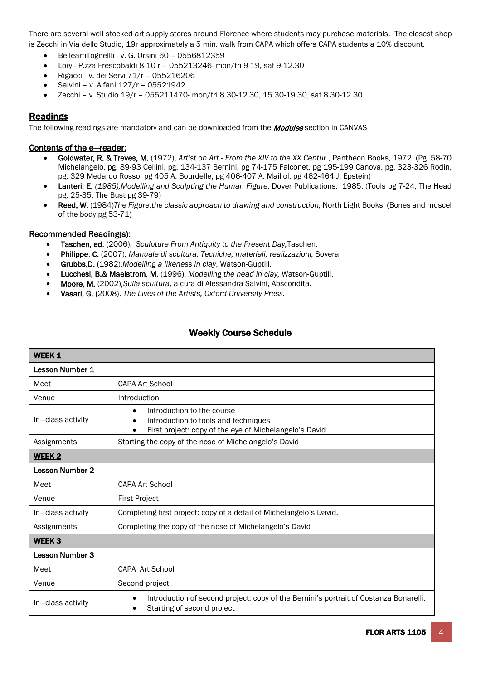There are several well stocked art supply stores around Florence where students may purchase materials. The closest shop is Zecchi in Via dello Studio, 19r approximately a 5 min. walk from CAPA which offers CAPA students a 10% discount.

- BelleartiTognellli v. G. Orsini 60 0556812359
- Lory P.zza Frescobaldi 8-10 r 055213246- mon/fri 9-19, sat 9-12.30
- Rigacci v. dei Servi 71/r 055216206
- Salvini v. Alfani 127/r 05521942
- Zecchi v. Studio 19/r 055211470- mon/fri 8.30-12.30, 15.30-19.30, sat 8.30-12.30

# Readings

The following readings are mandatory and can be downloaded from the **Modules** section in CANVAS

### Contents of the e—reader:

- Goldwater, R. & Treves, M. (1972), *Artist on Art - From the XIV to the XX Centur* , Pantheon Books, 1972. (Pg. 58-70 Michelangelo, pg. 89-93 Cellini, pg. 134-137 Bernini, pg 74-175 Falconet, pg 195-199 Canova, pg. 323-326 Rodin, pg. 329 Medardo Rosso, pg 405 A. Bourdelle, pg 406-407 A. Maillol, pg 462-464 J. Epstein)
- Lanteri, E. *(1985),Modelling and Sculpting the Human Figure*, Dover Publications, 1985. (Tools pg 7-24, The Head pg. 25-35, The Bust pg 39-79)
- Reed, W. (1984)*The Figure,the classic approach to drawing and construction,* North Light Books. (Bones and muscel of the body pg 53-71)

### Recommended Reading(s):

- Taschen, ed. (2006), *Sculpture From Antiquity to the Present Day,*Taschen.
- Philippe, C. (2007), *Manuale di scultura. Tecniche, materiali, realizzazioni,* Sovera.
- Grubbs,D. (1982),*Modelling a likeness in clay*, Watson-Guptill.
- Lucchesi, B.& Maelstrom, M. (1996), *Modelling the head in clay,* Watson-Guptill.
- Moore, M. (2002),*Sulla scultura,* a cura di Alessandra Salvini, Abscondita.
- Vasari, G. (2008), *The Lives of the Artists, Oxford University Press.*

# Weekly Course Schedule

| WEEK 1                 |                                                                                                                                                                     |
|------------------------|---------------------------------------------------------------------------------------------------------------------------------------------------------------------|
| Lesson Number 1        |                                                                                                                                                                     |
| Meet                   | <b>CAPA Art School</b>                                                                                                                                              |
| Venue                  | Introduction                                                                                                                                                        |
| In-class activity      | Introduction to the course<br>$\bullet$<br>Introduction to tools and techniques<br>$\bullet$<br>First project: copy of the eye of Michelangelo's David<br>$\bullet$ |
| Assignments            | Starting the copy of the nose of Michelangelo's David                                                                                                               |
| WEEK <sub>2</sub>      |                                                                                                                                                                     |
| <b>Lesson Number 2</b> |                                                                                                                                                                     |
| Meet                   | CAPA Art School                                                                                                                                                     |
| Venue                  | <b>First Project</b>                                                                                                                                                |
| In-class activity      | Completing first project: copy of a detail of Michelangelo's David.                                                                                                 |
| Assignments            | Completing the copy of the nose of Michelangelo's David                                                                                                             |
| WEEK <sub>3</sub>      |                                                                                                                                                                     |
| <b>Lesson Number 3</b> |                                                                                                                                                                     |
| Meet                   | CAPA Art School                                                                                                                                                     |
| Venue                  | Second project                                                                                                                                                      |
| In-class activity      | Introduction of second project: copy of the Bernini's portrait of Costanza Bonarelli.<br>$\bullet$<br>Starting of second project                                    |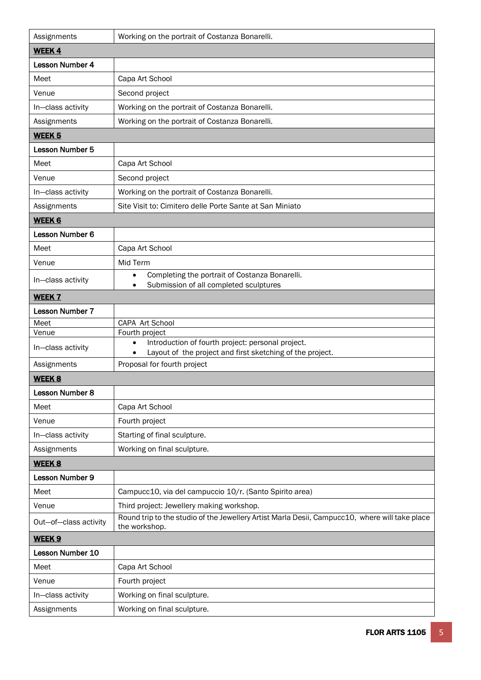| Assignments                | Working on the portrait of Costanza Bonarelli.                                                                                   |
|----------------------------|----------------------------------------------------------------------------------------------------------------------------------|
| <b>WEEK4</b>               |                                                                                                                                  |
| Lesson Number 4            |                                                                                                                                  |
| Meet                       | Capa Art School                                                                                                                  |
| Venue                      | Second project                                                                                                                   |
| In-class activity          | Working on the portrait of Costanza Bonarelli.                                                                                   |
| Assignments                | Working on the portrait of Costanza Bonarelli.                                                                                   |
| <b>WEEK 5</b>              |                                                                                                                                  |
| <b>Lesson Number 5</b>     |                                                                                                                                  |
| Meet                       | Capa Art School                                                                                                                  |
| Venue                      | Second project                                                                                                                   |
| In-class activity          | Working on the portrait of Costanza Bonarelli.                                                                                   |
| Assignments                | Site Visit to: Cimitero delle Porte Sante at San Miniato                                                                         |
| <b>WEEK 6</b>              |                                                                                                                                  |
| Lesson Number 6            |                                                                                                                                  |
| Meet                       | Capa Art School                                                                                                                  |
| Venue                      | Mid Term                                                                                                                         |
| In-class activity          | Completing the portrait of Costanza Bonarelli.<br>$\bullet$<br>Submission of all completed sculptures                            |
| <b>WEEK 7</b>              |                                                                                                                                  |
| <b>Lesson Number 7</b>     |                                                                                                                                  |
| Meet                       | CAPA Art School                                                                                                                  |
| Venue<br>In-class activity | Fourth project<br>Introduction of fourth project: personal project.<br>Layout of the project and first sketching of the project. |
| Assignments                | Proposal for fourth project                                                                                                      |
| <b>WEEK 8</b>              |                                                                                                                                  |
| Lesson Number 8            |                                                                                                                                  |
| Meet                       | Capa Art School                                                                                                                  |
| Venue                      | Fourth project                                                                                                                   |
| In-class activity          | Starting of final sculpture.                                                                                                     |
| Assignments                | Working on final sculpture.                                                                                                      |
| <b>WEEK 8</b>              |                                                                                                                                  |
| Lesson Number 9            |                                                                                                                                  |
| Meet                       | Campucc10, via del campuccio 10/r. (Santo Spirito area)                                                                          |
| Venue                      | Third project: Jewellery making workshop.                                                                                        |
| Out-of-class activity      | Round trip to the studio of the Jewellery Artist Marla Desii, Campucc10, where will take place<br>the workshop.                  |
| WEEK <sub>9</sub>          |                                                                                                                                  |
| Lesson Number 10           |                                                                                                                                  |
| Meet                       | Capa Art School                                                                                                                  |
| Venue                      | Fourth project                                                                                                                   |
| In-class activity          | Working on final sculpture.                                                                                                      |
| Assignments                | Working on final sculpture.                                                                                                      |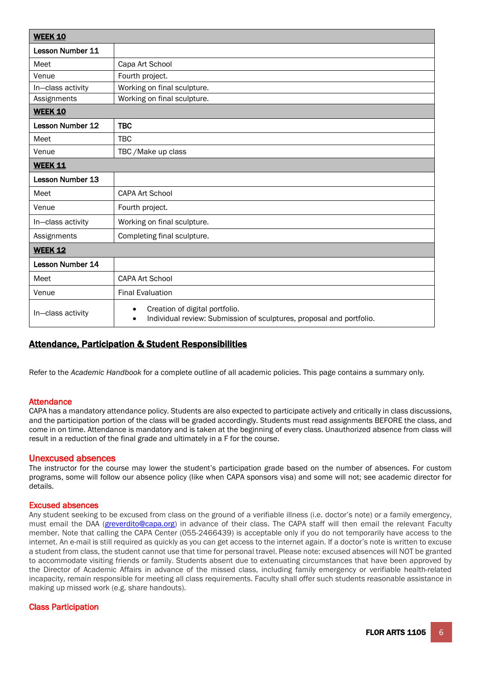| <b>WEEK 10</b>          |                                                                                                                                  |  |
|-------------------------|----------------------------------------------------------------------------------------------------------------------------------|--|
| <b>Lesson Number 11</b> |                                                                                                                                  |  |
| Meet                    | Capa Art School                                                                                                                  |  |
| Venue                   | Fourth project.                                                                                                                  |  |
| In-class activity       | Working on final sculpture.                                                                                                      |  |
| Assignments             | Working on final sculpture.                                                                                                      |  |
| <b>WEEK 10</b>          |                                                                                                                                  |  |
| <b>Lesson Number 12</b> | <b>TBC</b>                                                                                                                       |  |
| Meet                    | <b>TBC</b>                                                                                                                       |  |
| Venue                   | TBC / Make up class                                                                                                              |  |
| <b>WEEK 11</b>          |                                                                                                                                  |  |
| <b>Lesson Number 13</b> |                                                                                                                                  |  |
| Meet                    | <b>CAPA Art School</b>                                                                                                           |  |
| Venue                   | Fourth project.                                                                                                                  |  |
| In-class activity       | Working on final sculpture.                                                                                                      |  |
| Assignments             | Completing final sculpture.                                                                                                      |  |
| <b>WEEK 12</b>          |                                                                                                                                  |  |
| Lesson Number 14        |                                                                                                                                  |  |
| Meet                    | <b>CAPA Art School</b>                                                                                                           |  |
| Venue                   | <b>Final Evaluation</b>                                                                                                          |  |
| In-class activity       | Creation of digital portfolio.<br>$\bullet$<br>Individual review: Submission of sculptures, proposal and portfolio.<br>$\bullet$ |  |

# Attendance, Participation & Student Responsibilities

Refer to the *Academic Handbook* for a complete outline of all academic policies. This page contains a summary only.

#### **Attendance**

CAPA has a mandatory attendance policy. Students are also expected to participate actively and critically in class discussions, and the participation portion of the class will be graded accordingly. Students must read assignments BEFORE the class, and come in on time. Attendance is mandatory and is taken at the beginning of every class. Unauthorized absence from class will result in a reduction of the final grade and ultimately in a F for the course.

Unexcused absences<br>The instructor for the course may lower the student's participation grade based on the number of absences. For custom programs, some will follow our absence policy (like when CAPA sponsors visa) and some will not; see academic director for details.

#### Excused absences

Any student seeking to be excused from class on the ground of a verifiable illness (i.e. doctor's note) or a family emergency, must email the DAA [\(greverdito@capa.org\)](mailto:greverdito@capa.org) in advance of their class. The CAPA staff will then email the relevant Faculty member. Note that calling the CAPA Center (055-2466439) is acceptable only if you do not temporarily have access to the internet. An e-mail is still required as quickly as you can get access to the internet again. If a doctor's note is written to excuse a student from class, the student cannot use that time for personal travel. Please note: excused absences will NOT be granted to accommodate visiting friends or family. Students absent due to extenuating circumstances that have been approved by the Director of Academic Affairs in advance of the missed class, including family emergency or verifiable health-related incapacity, remain responsible for meeting all class requirements. Faculty shall offer such students reasonable assistance in making up missed work (e.g. share handouts).

### Class Participation